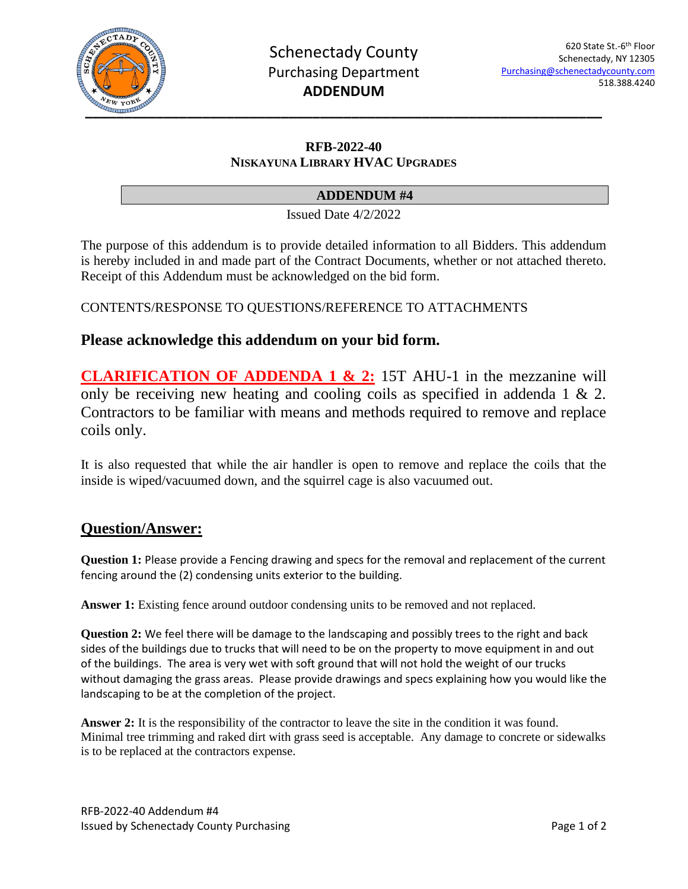

#### **RFB-2022-40 NISKAYUNA LIBRARY HVAC UPGRADES**

#### **ADDENDUM #4**

Issued Date 4/2/2022

The purpose of this addendum is to provide detailed information to all Bidders. This addendum is hereby included in and made part of the Contract Documents, whether or not attached thereto. Receipt of this Addendum must be acknowledged on the bid form.

CONTENTS/RESPONSE TO QUESTIONS/REFERENCE TO ATTACHMENTS

## **Please acknowledge this addendum on your bid form.**

**CLARIFICATION OF ADDENDA 1 & 2:** 15T AHU-1 in the mezzanine will only be receiving new heating and cooling coils as specified in addenda 1 & 2. Contractors to be familiar with means and methods required to remove and replace coils only.

It is also requested that while the air handler is open to remove and replace the coils that the inside is wiped/vacuumed down, and the squirrel cage is also vacuumed out.

# **Question/Answer:**

**Question 1:** Please provide a Fencing drawing and specs for the removal and replacement of the current fencing around the (2) condensing units exterior to the building.

**Answer 1:** Existing fence around outdoor condensing units to be removed and not replaced.

**Question 2:** We feel there will be damage to the landscaping and possibly trees to the right and back sides of the buildings due to trucks that will need to be on the property to move equipment in and out of the buildings. The area is very wet with soft ground that will not hold the weight of our trucks without damaging the grass areas. Please provide drawings and specs explaining how you would like the landscaping to be at the completion of the project.

**Answer 2:** It is the responsibility of the contractor to leave the site in the condition it was found. Minimal tree trimming and raked dirt with grass seed is acceptable. Any damage to concrete or sidewalks is to be replaced at the contractors expense.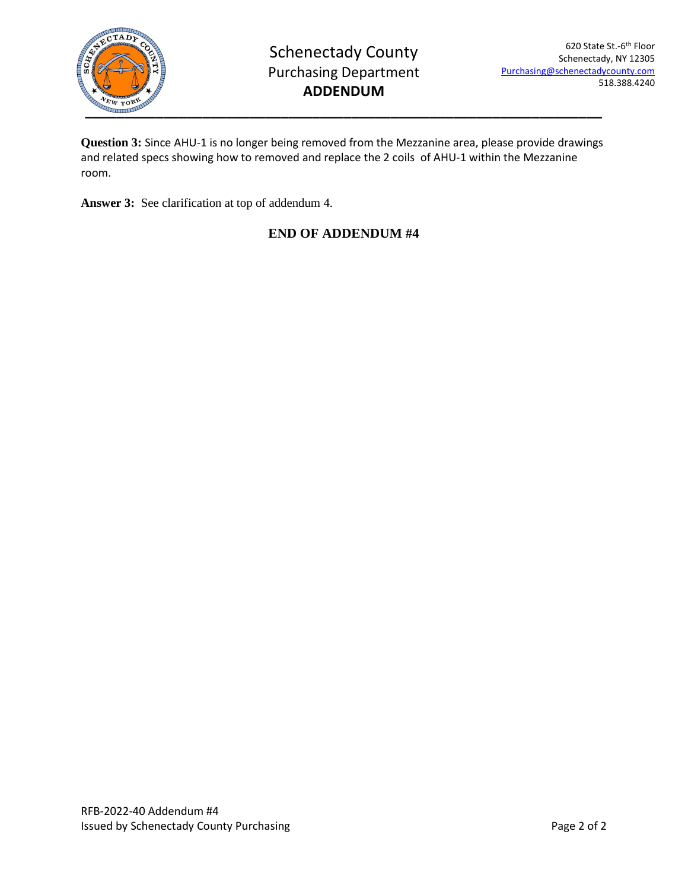

**Question 3:** Since AHU-1 is no longer being removed from the Mezzanine area, please provide drawings and related specs showing how to removed and replace the 2 coils of AHU-1 within the Mezzanine room.

**Answer 3:** See clarification at top of addendum 4.

## **END OF ADDENDUM #4**